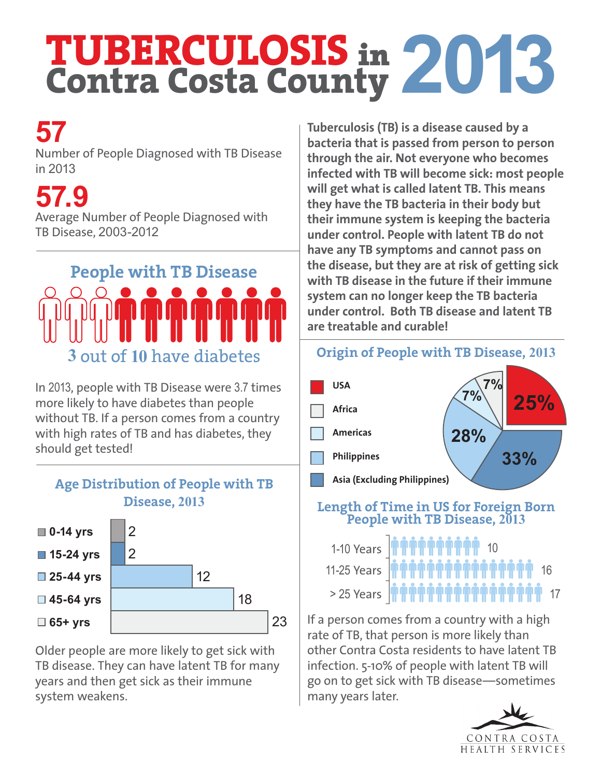# **TUBERCULOSIS** in **Contra Costa County 2013**

### **57**

Number of People Diagnosed with TB Disease in 2013

**57.9**

Average Number of People Diagnosed with TB Disease, 2003-2012

# **People with TB Disease 3** out of **10** have diabetes

In 2013, people with TB Disease were 3.7 times more likely to have diabetes than people without TB. If a person comes from a country with high rates of TB and has diabetes, they should get tested!

#### **Age Distribution of People with TB Disease, 2013**



Older people are more likely to get sick with TB disease. They can have latent TB for many years and then get sick as their immune system weakens.

**Tuberculosis (TB) is a disease caused by a bacteria that is passed from person to person through the air. Not everyone who becomes infected with TB will become sick: most people will get what is called latent TB. This means they have the TB bacteria in their body but their immune system is keeping the bacteria under control. People with latent TB do not have any TB symptoms and cannot pass on the disease, but they are at risk of getting sick with TB disease in the future if their immune system can no longer keep the TB bacteria under control. Both TB disease and latent TB are treatable and curable!**

#### **25% 33% 28% 7% USA 7% Africa Americas Philippines Asia (Excluding Philippines) Origin of People with TB Disease, 2013**

#### **Length of Time in US for Foreign Born People with TB Disease, <sup>2013</sup>**

| 1-10 Years <b>  ทำทำทำทำทำทำ</b> 10<br>11-25 Years   ทำทำทำทำทำทำทำทำทำทำทำทำ<br>> 25 Years   ทำทำทำทำทำทำทำทำทำทำทำทำทำ |
|--------------------------------------------------------------------------------------------------------------------------|
|                                                                                                                          |
|                                                                                                                          |

If a person comes from a country with a high rate of TB, that person is more likely than other Contra Costa residents to have latent TB infection. 5-10% of people with latent TB will go on to get sick with TB disease—sometimes many years later.